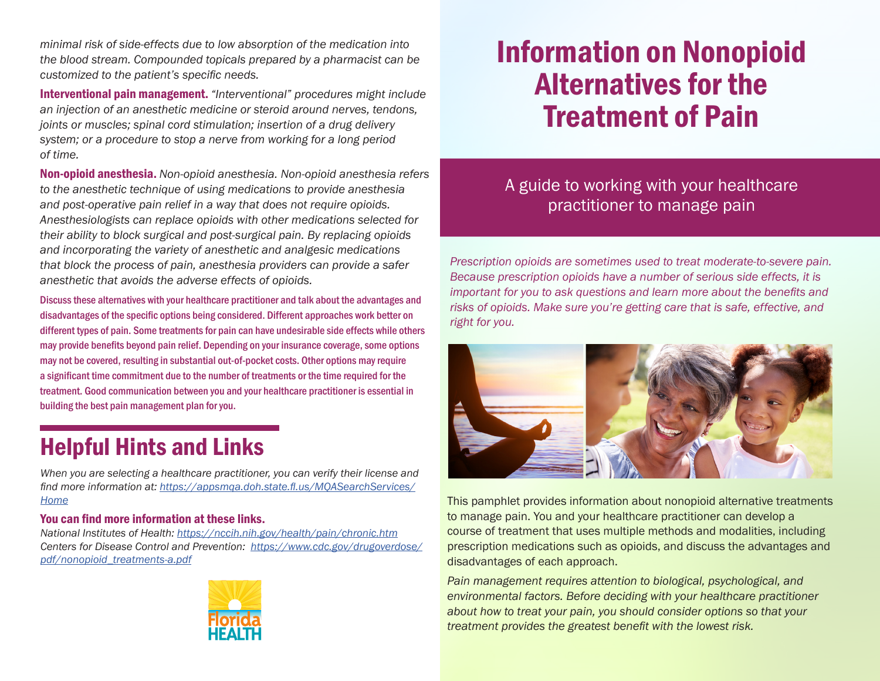*minimal risk of side-effects due to low absorption of the medication into the blood stream. Compounded topicals prepared by a pharmacist can be customized to the patient's specific needs.* 

Interventional pain management. *"Interventional" procedures might include an injection of an anesthetic medicine or steroid around nerves, tendons, joints or muscles; spinal cord stimulation; insertion of a drug delivery system; or a procedure to stop a nerve from working for a long period of time.*

Non-opioid anesthesia. *Non-opioid anesthesia. Non-opioid anesthesia refers to the anesthetic technique of using medications to provide anesthesia and post-operative pain relief in a way that does not require opioids. Anesthesiologists can replace opioids with other medications selected for their ability to block surgical and post-surgical pain. By replacing opioids and incorporating the variety of anesthetic and analgesic medications that block the process of pain, anesthesia providers can provide a safer anesthetic that avoids the adverse effects of opioids.* 

Discuss these alternatives with your healthcare practitioner and talk about the advantages and disadvantages of the specific options being considered. Different approaches work better on different types of pain. Some treatments for pain can have undesirable side effects while others may provide benefits beyond pain relief. Depending on your insurance coverage, some options may not be covered, resulting in substantial out-of-pocket costs. Other options may require a significant time commitment due to the number of treatments or the time required for the treatment. Good communication between you and your healthcare practitioner is essential in building the best pain management plan for you.

## Helpful Hints and Links

*When you are selecting a healthcare practitioner, you can verify their license and find more information at: https://appsmqa.doh.state.fl.us/MQASearchServices/ Home*

#### You can find more information at these links.

*National Institutes of Health: https://nccih.nih.gov/health/pain/chronic.htm Centers for Disease Control and Prevention: https://www.cdc.gov/drugoverdose/ pdf/nonopioid\_treatments-a.pdf*



# Information on Nonopioid Alternatives for the Treatment of Pain

### A guide to working with your healthcare practitioner to manage pain

*Prescription opioids are sometimes used to treat moderate-to-severe pain. Because prescription opioids have a number of serious side effects, it is important for you to ask questions and learn more about the benefits and risks of opioids. Make sure you're getting care that is safe, effective, and right for you.*



This pamphlet provides information about nonopioid alternative treatments to manage pain. You and your healthcare practitioner can develop a course of treatment that uses multiple methods and modalities, including prescription medications such as opioids, and discuss the advantages and disadvantages of each approach.

*Pain management requires attention to biological, psychological, and environmental factors. Before deciding with your healthcare practitioner about how to treat your pain, you should consider options so that your treatment provides the greatest benefit with the lowest risk.*